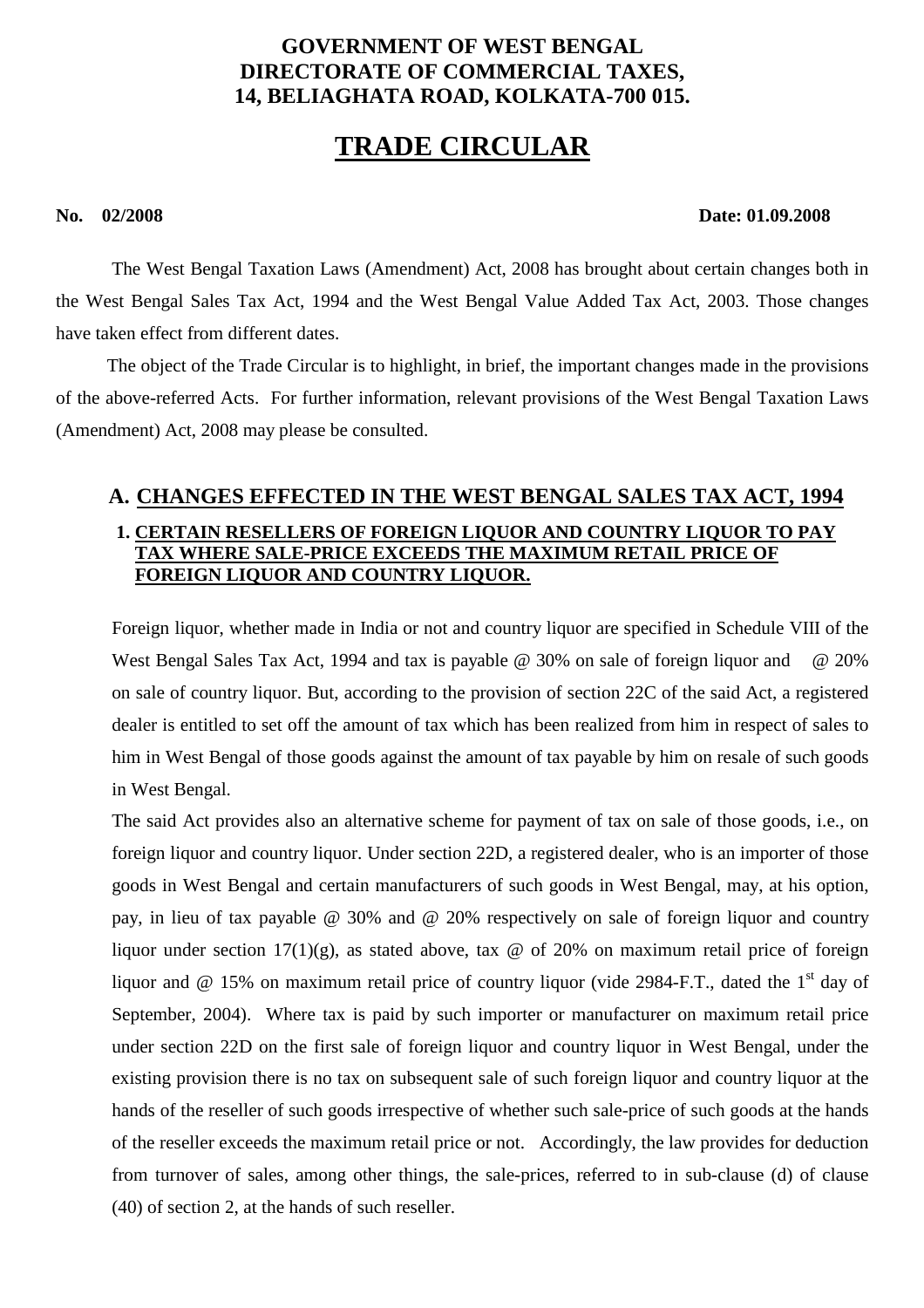# **GOVERNMENT OF WEST BENGAL DIRECTORATE OF COMMERCIAL TAXES, 14, BELIAGHATA ROAD, KOLKATA-700 015.**

# **TRADE CIRCULAR**

#### **No. 02/2008 Date: 01.09.2008**

The West Bengal Taxation Laws (Amendment) Act, 2008 has brought about certain changes both in the West Bengal Sales Tax Act, 1994 and the West Bengal Value Added Tax Act, 2003. Those changes have taken effect from different dates.

 The object of the Trade Circular is to highlight, in brief, the important changes made in the provisions of the above-referred Acts. For further information, relevant provisions of the West Bengal Taxation Laws (Amendment) Act, 2008 may please be consulted.

# **A. CHANGES EFFECTED IN THE WEST BENGAL SALES TAX ACT, 1994**

### **1. CERTAIN RESELLERS OF FOREIGN LIQUOR AND COUNTRY LIQUOR TO PAY TAX WHERE SALE-PRICE EXCEEDS THE MAXIMUM RETAIL PRICE OF FOREIGN LIQUOR AND COUNTRY LIQUOR.**

Foreign liquor, whether made in India or not and country liquor are specified in Schedule VIII of the West Bengal Sales Tax Act, 1994 and tax is payable @ 30% on sale of foreign liquor and @ 20% on sale of country liquor. But, according to the provision of section 22C of the said Act, a registered dealer is entitled to set off the amount of tax which has been realized from him in respect of sales to him in West Bengal of those goods against the amount of tax payable by him on resale of such goods in West Bengal.

The said Act provides also an alternative scheme for payment of tax on sale of those goods, i.e., on foreign liquor and country liquor. Under section 22D, a registered dealer, who is an importer of those goods in West Bengal and certain manufacturers of such goods in West Bengal, may, at his option, pay, in lieu of tax payable @ 30% and @ 20% respectively on sale of foreign liquor and country liquor under section  $17(1)(g)$ , as stated above, tax @ of 20% on maximum retail price of foreign liquor and  $\omega$  15% on maximum retail price of country liquor (vide 2984-F.T., dated the 1<sup>st</sup> day of September, 2004). Where tax is paid by such importer or manufacturer on maximum retail price under section 22D on the first sale of foreign liquor and country liquor in West Bengal, under the existing provision there is no tax on subsequent sale of such foreign liquor and country liquor at the hands of the reseller of such goods irrespective of whether such sale-price of such goods at the hands of the reseller exceeds the maximum retail price or not. Accordingly, the law provides for deduction from turnover of sales, among other things, the sale-prices, referred to in sub-clause (d) of clause (40) of section 2, at the hands of such reseller.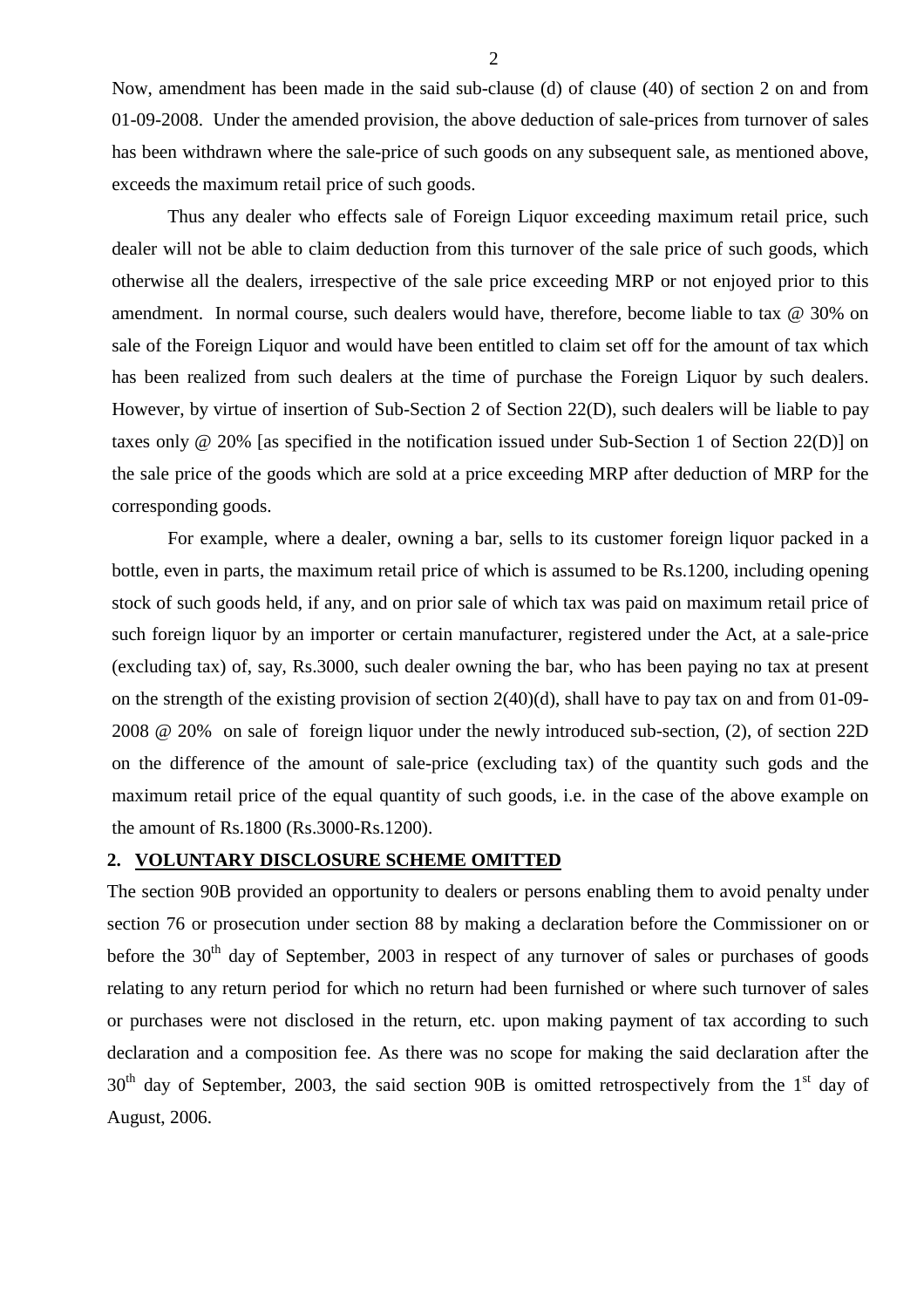Now, amendment has been made in the said sub-clause (d) of clause (40) of section 2 on and from 01-09-2008. Under the amended provision, the above deduction of sale-prices from turnover of sales has been withdrawn where the sale-price of such goods on any subsequent sale, as mentioned above, exceeds the maximum retail price of such goods.

 Thus any dealer who effects sale of Foreign Liquor exceeding maximum retail price, such dealer will not be able to claim deduction from this turnover of the sale price of such goods, which otherwise all the dealers, irrespective of the sale price exceeding MRP or not enjoyed prior to this amendment. In normal course, such dealers would have, therefore, become liable to tax @ 30% on sale of the Foreign Liquor and would have been entitled to claim set off for the amount of tax which has been realized from such dealers at the time of purchase the Foreign Liquor by such dealers. However, by virtue of insertion of Sub-Section 2 of Section 22(D), such dealers will be liable to pay taxes only @ 20% [as specified in the notification issued under Sub-Section 1 of Section 22(D)] on the sale price of the goods which are sold at a price exceeding MRP after deduction of MRP for the corresponding goods.

 For example, where a dealer, owning a bar, sells to its customer foreign liquor packed in a bottle, even in parts, the maximum retail price of which is assumed to be Rs.1200, including opening stock of such goods held, if any, and on prior sale of which tax was paid on maximum retail price of such foreign liquor by an importer or certain manufacturer, registered under the Act, at a sale-price (excluding tax) of, say, Rs.3000, such dealer owning the bar, who has been paying no tax at present on the strength of the existing provision of section 2(40)(d), shall have to pay tax on and from 01-09- 2008 @ 20% on sale of foreign liquor under the newly introduced sub-section, (2), of section 22D on the difference of the amount of sale-price (excluding tax) of the quantity such gods and the maximum retail price of the equal quantity of such goods, i.e. in the case of the above example on the amount of Rs.1800 (Rs.3000-Rs.1200).

#### **2. VOLUNTARY DISCLOSURE SCHEME OMITTED**

The section 90B provided an opportunity to dealers or persons enabling them to avoid penalty under section 76 or prosecution under section 88 by making a declaration before the Commissioner on or before the 30<sup>th</sup> day of September, 2003 in respect of any turnover of sales or purchases of goods relating to any return period for which no return had been furnished or where such turnover of sales or purchases were not disclosed in the return, etc. upon making payment of tax according to such declaration and a composition fee. As there was no scope for making the said declaration after the  $30<sup>th</sup>$  day of September, 2003, the said section 90B is omitted retrospectively from the 1<sup>st</sup> day of August, 2006.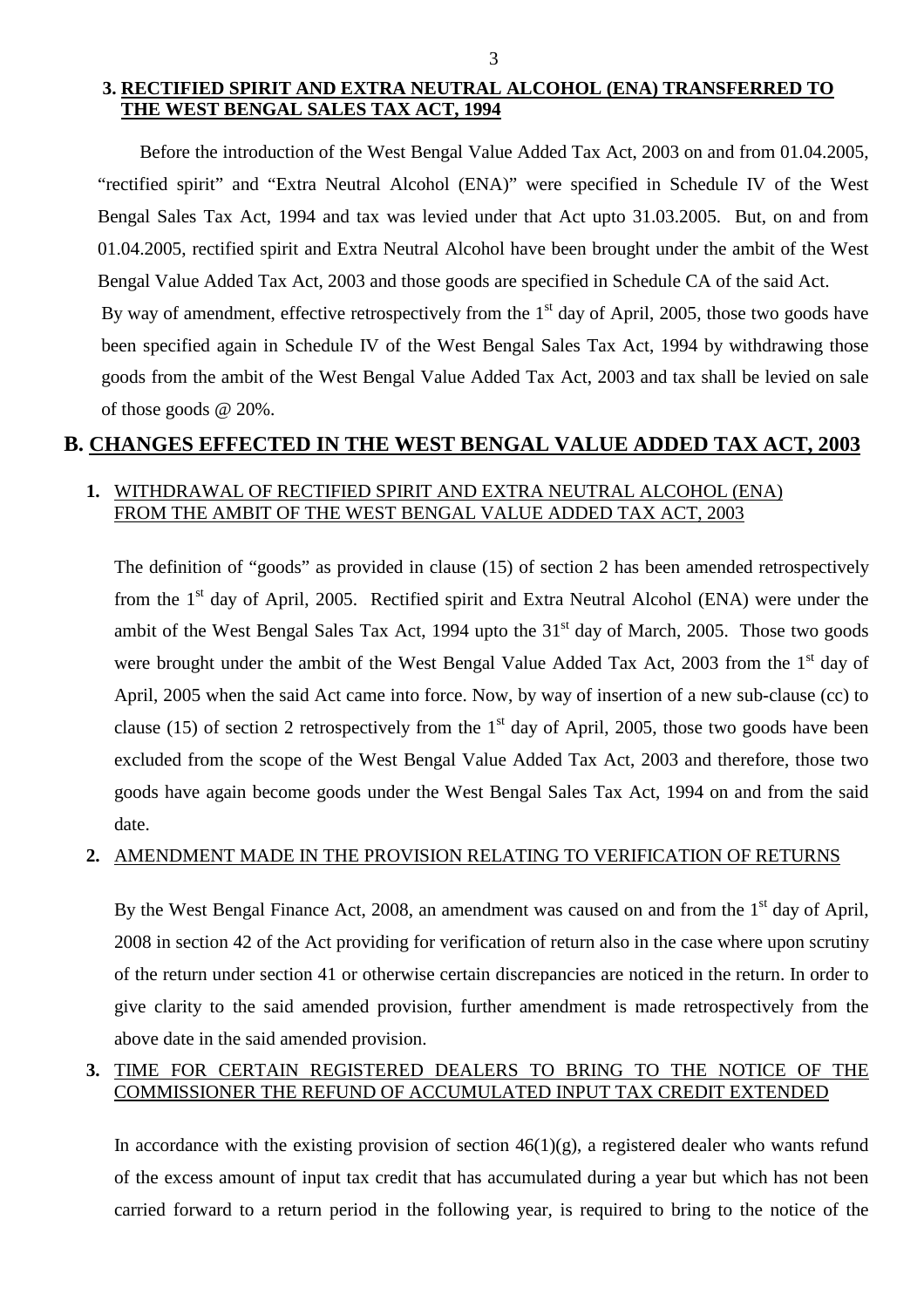### **3. RECTIFIED SPIRIT AND EXTRA NEUTRAL ALCOHOL (ENA) TRANSFERRED TO THE WEST BENGAL SALES TAX ACT, 1994**

Before the introduction of the West Bengal Value Added Tax Act, 2003 on and from 01.04.2005, "rectified spirit" and "Extra Neutral Alcohol (ENA)" were specified in Schedule IV of the West Bengal Sales Tax Act, 1994 and tax was levied under that Act upto 31.03.2005. But, on and from 01.04.2005, rectified spirit and Extra Neutral Alcohol have been brought under the ambit of the West Bengal Value Added Tax Act, 2003 and those goods are specified in Schedule CA of the said Act.

By way of amendment, effective retrospectively from the  $1<sup>st</sup>$  day of April, 2005, those two goods have been specified again in Schedule IV of the West Bengal Sales Tax Act, 1994 by withdrawing those goods from the ambit of the West Bengal Value Added Tax Act, 2003 and tax shall be levied on sale of those goods @ 20%.

# **B. CHANGES EFFECTED IN THE WEST BENGAL VALUE ADDED TAX ACT, 2003**

# **1.** WITHDRAWAL OF RECTIFIED SPIRIT AND EXTRA NEUTRAL ALCOHOL (ENA) FROM THE AMBIT OF THE WEST BENGAL VALUE ADDED TAX ACT, 2003

The definition of "goods" as provided in clause (15) of section 2 has been amended retrospectively from the 1<sup>st</sup> day of April, 2005. Rectified spirit and Extra Neutral Alcohol (ENA) were under the ambit of the West Bengal Sales Tax Act, 1994 upto the  $31<sup>st</sup>$  day of March, 2005. Those two goods were brought under the ambit of the West Bengal Value Added Tax Act, 2003 from the  $1<sup>st</sup>$  day of April, 2005 when the said Act came into force. Now, by way of insertion of a new sub-clause (cc) to clause (15) of section 2 retrospectively from the  $1<sup>st</sup>$  day of April, 2005, those two goods have been excluded from the scope of the West Bengal Value Added Tax Act, 2003 and therefore, those two goods have again become goods under the West Bengal Sales Tax Act, 1994 on and from the said date.

### **2.** AMENDMENT MADE IN THE PROVISION RELATING TO VERIFICATION OF RETURNS

By the West Bengal Finance Act, 2008, an amendment was caused on and from the  $1<sup>st</sup>$  day of April, 2008 in section 42 of the Act providing for verification of return also in the case where upon scrutiny of the return under section 41 or otherwise certain discrepancies are noticed in the return. In order to give clarity to the said amended provision, further amendment is made retrospectively from the above date in the said amended provision.

# **3.** TIME FOR CERTAIN REGISTERED DEALERS TO BRING TO THE NOTICE OF THE COMMISSIONER THE REFUND OF ACCUMULATED INPUT TAX CREDIT EXTENDED

In accordance with the existing provision of section  $46(1)(g)$ , a registered dealer who wants refund of the excess amount of input tax credit that has accumulated during a year but which has not been carried forward to a return period in the following year, is required to bring to the notice of the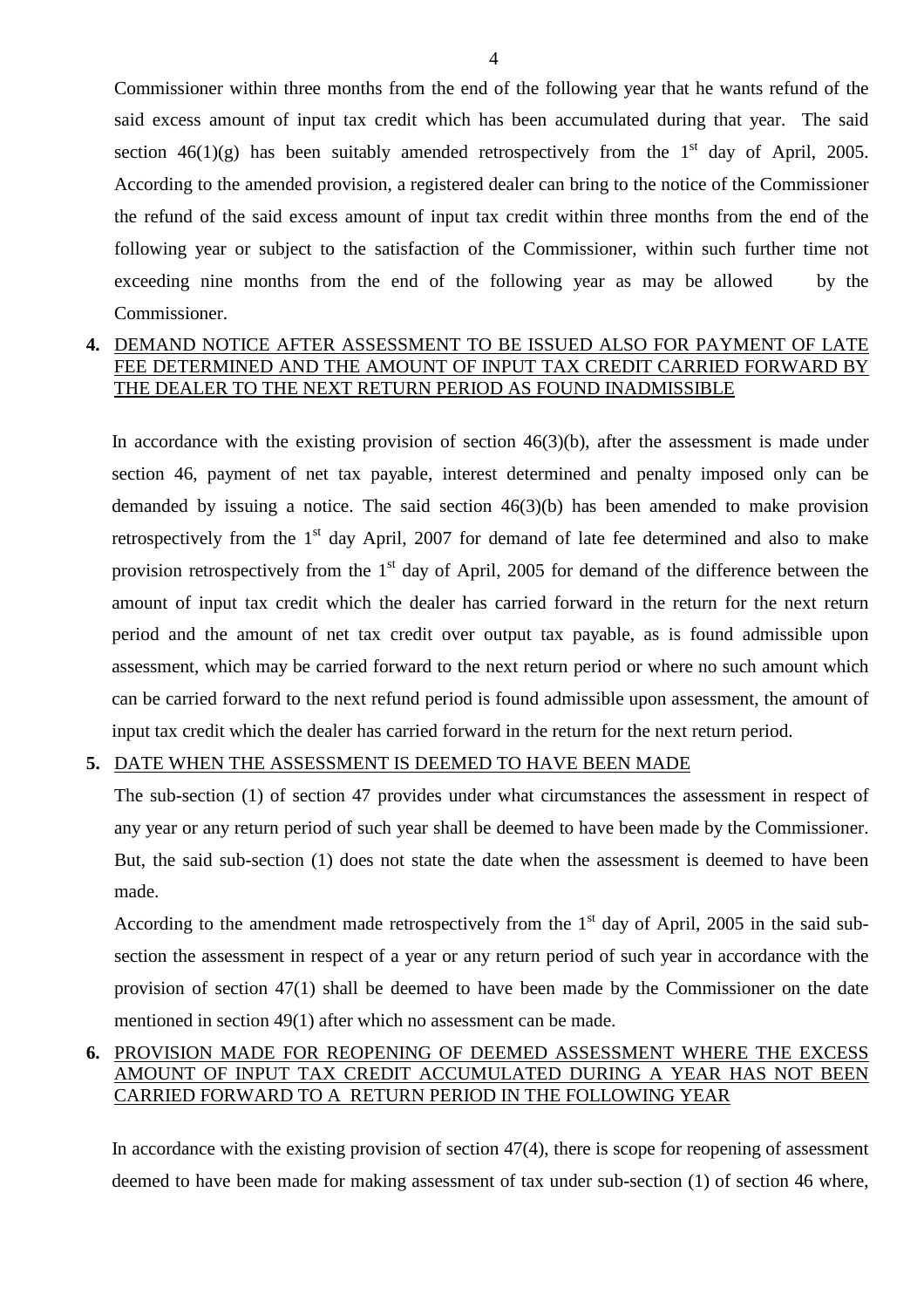Commissioner within three months from the end of the following year that he wants refund of the said excess amount of input tax credit which has been accumulated during that year. The said section  $46(1)(g)$  has been suitably amended retrospectively from the 1<sup>st</sup> day of April, 2005. According to the amended provision, a registered dealer can bring to the notice of the Commissioner the refund of the said excess amount of input tax credit within three months from the end of the following year or subject to the satisfaction of the Commissioner, within such further time not exceeding nine months from the end of the following year as may be allowed by the Commissioner.

#### **4.** DEMAND NOTICE AFTER ASSESSMENT TO BE ISSUED ALSO FOR PAYMENT OF LATE FEE DETERMINED AND THE AMOUNT OF INPUT TAX CREDIT CARRIED FORWARD BY THE DEALER TO THE NEXT RETURN PERIOD AS FOUND INADMISSIBLE

In accordance with the existing provision of section  $46(3)(b)$ , after the assessment is made under section 46, payment of net tax payable, interest determined and penalty imposed only can be demanded by issuing a notice. The said section 46(3)(b) has been amended to make provision retrospectively from the  $1<sup>st</sup>$  day April, 2007 for demand of late fee determined and also to make provision retrospectively from the  $1<sup>st</sup>$  day of April, 2005 for demand of the difference between the amount of input tax credit which the dealer has carried forward in the return for the next return period and the amount of net tax credit over output tax payable, as is found admissible upon assessment, which may be carried forward to the next return period or where no such amount which can be carried forward to the next refund period is found admissible upon assessment, the amount of input tax credit which the dealer has carried forward in the return for the next return period.

#### **5.** DATE WHEN THE ASSESSMENT IS DEEMED TO HAVE BEEN MADE

The sub-section (1) of section 47 provides under what circumstances the assessment in respect of any year or any return period of such year shall be deemed to have been made by the Commissioner. But, the said sub-section (1) does not state the date when the assessment is deemed to have been made.

According to the amendment made retrospectively from the  $1<sup>st</sup>$  day of April, 2005 in the said subsection the assessment in respect of a year or any return period of such year in accordance with the provision of section 47(1) shall be deemed to have been made by the Commissioner on the date mentioned in section 49(1) after which no assessment can be made.

### **6.** PROVISION MADE FOR REOPENING OF DEEMED ASSESSMENT WHERE THE EXCESS AMOUNT OF INPUT TAX CREDIT ACCUMULATED DURING A YEAR HAS NOT BEEN CARRIED FORWARD TO A RETURN PERIOD IN THE FOLLOWING YEAR

In accordance with the existing provision of section 47(4), there is scope for reopening of assessment deemed to have been made for making assessment of tax under sub-section (1) of section 46 where,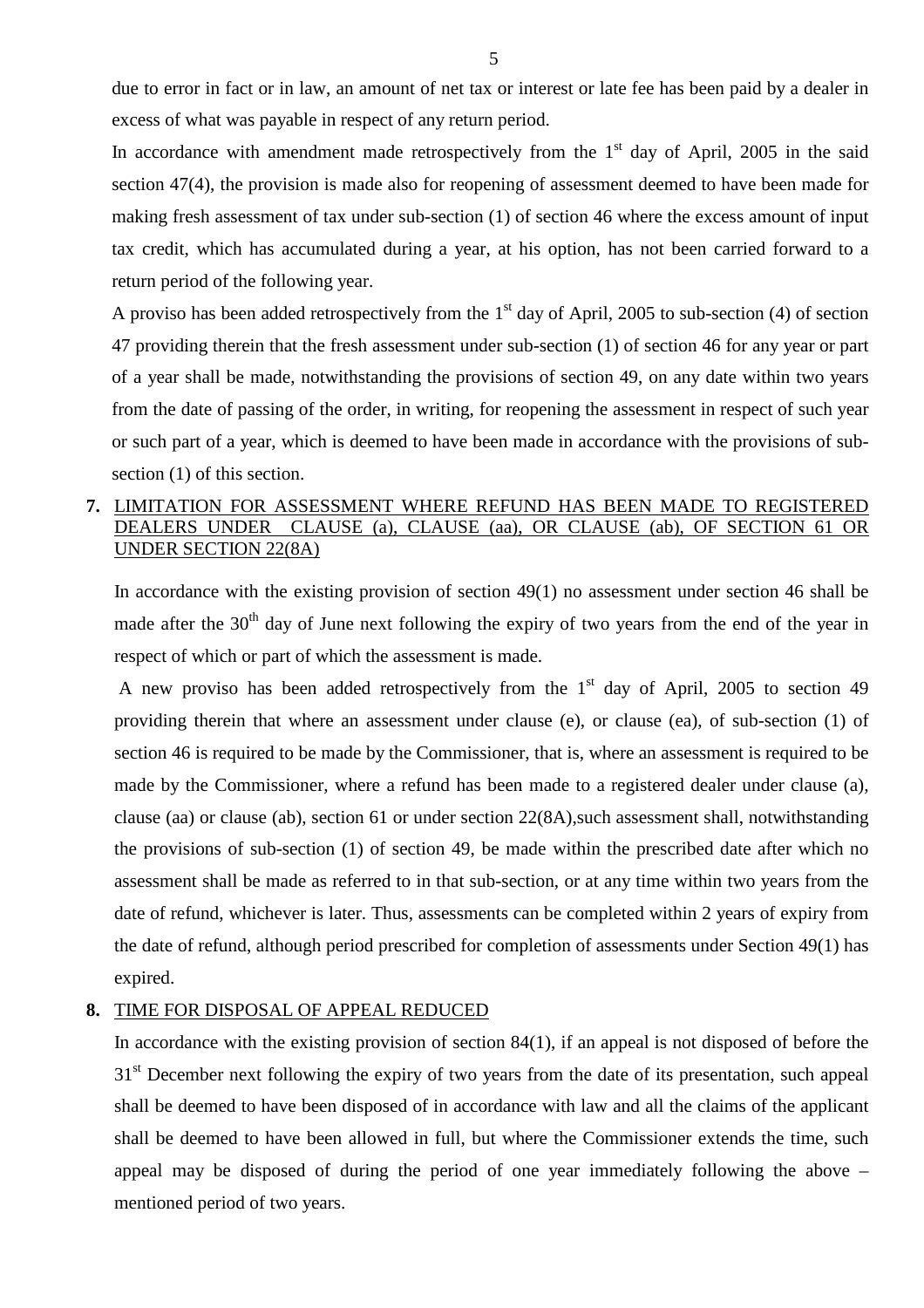due to error in fact or in law, an amount of net tax or interest or late fee has been paid by a dealer in excess of what was payable in respect of any return period.

In accordance with amendment made retrospectively from the  $1<sup>st</sup>$  day of April, 2005 in the said section 47(4), the provision is made also for reopening of assessment deemed to have been made for making fresh assessment of tax under sub-section (1) of section 46 where the excess amount of input tax credit, which has accumulated during a year, at his option, has not been carried forward to a return period of the following year.

A proviso has been added retrospectively from the  $1<sup>st</sup>$  day of April, 2005 to sub-section (4) of section 47 providing therein that the fresh assessment under sub-section (1) of section 46 for any year or part of a year shall be made, notwithstanding the provisions of section 49, on any date within two years from the date of passing of the order, in writing, for reopening the assessment in respect of such year or such part of a year, which is deemed to have been made in accordance with the provisions of subsection (1) of this section.

#### **7.** LIMITATION FOR ASSESSMENT WHERE REFUND HAS BEEN MADE TO REGISTERED DEALERS UNDER CLAUSE (a), CLAUSE (aa), OR CLAUSE (ab), OF SECTION 61 OR UNDER SECTION 22(8A)

In accordance with the existing provision of section 49(1) no assessment under section 46 shall be made after the 30<sup>th</sup> day of June next following the expiry of two years from the end of the year in respect of which or part of which the assessment is made.

A new proviso has been added retrospectively from the  $1<sup>st</sup>$  day of April, 2005 to section 49 providing therein that where an assessment under clause (e), or clause (ea), of sub-section (1) of section 46 is required to be made by the Commissioner, that is, where an assessment is required to be made by the Commissioner, where a refund has been made to a registered dealer under clause (a), clause (aa) or clause (ab), section 61 or under section 22(8A),such assessment shall, notwithstanding the provisions of sub-section (1) of section 49, be made within the prescribed date after which no assessment shall be made as referred to in that sub-section, or at any time within two years from the date of refund, whichever is later. Thus, assessments can be completed within 2 years of expiry from the date of refund, although period prescribed for completion of assessments under Section 49(1) has expired.

#### **8.** TIME FOR DISPOSAL OF APPEAL REDUCED

In accordance with the existing provision of section 84(1), if an appeal is not disposed of before the 31<sup>st</sup> December next following the expiry of two years from the date of its presentation, such appeal shall be deemed to have been disposed of in accordance with law and all the claims of the applicant shall be deemed to have been allowed in full, but where the Commissioner extends the time, such appeal may be disposed of during the period of one year immediately following the above – mentioned period of two years.